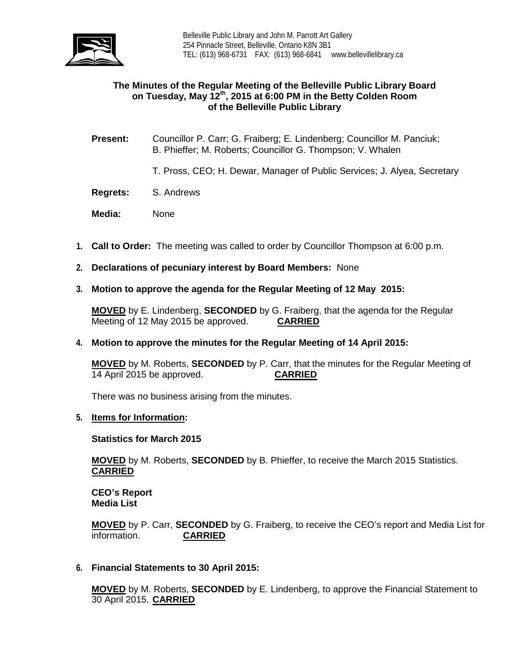

## **The Minutes of the Regular Meeting of the Belleville Public Library Board on Tuesday, May 12th, 2015 at 6:00 PM in the Betty Colden Room of the Belleville Public Library**

- **Present:** Councillor P. Carr; G. Fraiberg; E. Lindenberg; Councillor M. Panciuk; B. Phieffer; M. Roberts; Councillor G. Thompson; V. Whalen
	- T. Pross, CEO; H. Dewar, Manager of Public Services; J. Alyea, Secretary
- **Regrets:** S. Andrews
- **Media:** None
- **1. Call to Order:** The meeting was called to order by Councillor Thompson at 6:00 p.m.
- **2. Declarations of pecuniary interest by Board Members:** None
- **3. Motion to approve the agenda for the Regular Meeting of 12 May 2015:**

**MOVED** by E. Lindenberg, **SECONDED** by G. Fraiberg, that the agenda for the Regular Meeting of 12 May 2015 be approved. **CARRIED**

**4. Motion to approve the minutes for the Regular Meeting of 14 April 2015:**

**MOVED** by M. Roberts, **SECONDED** by P. Carr, that the minutes for the Regular Meeting of 14 April 2015 be approved. **CARRIED**

There was no business arising from the minutes.

**5. Items for Information:**

### **Statistics for March 2015**

**MOVED** by M. Roberts, **SECONDED** by B. Phieffer, to receive the March 2015 Statistics. **CARRIED**

**CEO's Report Media List**

**MOVED** by P. Carr, **SECONDED** by G. Fraiberg, to receive the CEO's report and Media List for  $information.$ 

**6. Financial Statements to 30 April 2015:**

**MOVED** by M. Roberts, **SECONDED** by E. Lindenberg, to approve the Financial Statement to 30 April 2015. **CARRIED**